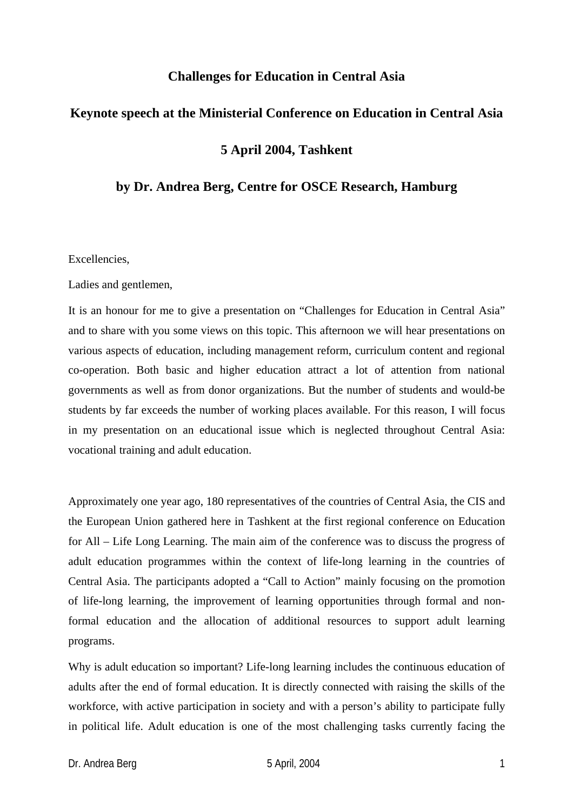# **Challenges for Education in Central Asia**

# **Keynote speech at the Ministerial Conference on Education in Central Asia**

# **5 April 2004, Tashkent**

### **by Dr. Andrea Berg, Centre for OSCE Research, Hamburg**

Excellencies,

Ladies and gentlemen,

It is an honour for me to give a presentation on "Challenges for Education in Central Asia" and to share with you some views on this topic. This afternoon we will hear presentations on various aspects of education, including management reform, curriculum content and regional co-operation. Both basic and higher education attract a lot of attention from national governments as well as from donor organizations. But the number of students and would-be students by far exceeds the number of working places available. For this reason, I will focus in my presentation on an educational issue which is neglected throughout Central Asia: vocational training and adult education.

Approximately one year ago, 180 representatives of the countries of Central Asia, the CIS and the European Union gathered here in Tashkent at the first regional conference on Education for All – Life Long Learning. The main aim of the conference was to discuss the progress of adult education programmes within the context of life-long learning in the countries of Central Asia. The participants adopted a "Call to Action" mainly focusing on the promotion of life-long learning, the improvement of learning opportunities through formal and nonformal education and the allocation of additional resources to support adult learning programs.

Why is adult education so important? Life-long learning includes the continuous education of adults after the end of formal education. It is directly connected with raising the skills of the workforce, with active participation in society and with a person's ability to participate fully in political life. Adult education is one of the most challenging tasks currently facing the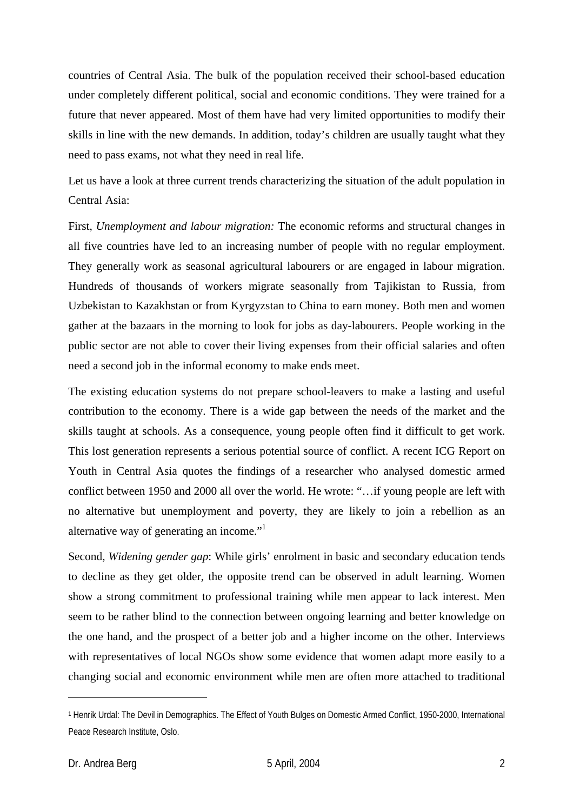countries of Central Asia. The bulk of the population received their school-based education under completely different political, social and economic conditions. They were trained for a future that never appeared. Most of them have had very limited opportunities to modify their skills in line with the new demands. In addition, today's children are usually taught what they need to pass exams, not what they need in real life.

Let us have a look at three current trends characterizing the situation of the adult population in Central Asia:

First, *Unemployment and labour migration:* The economic reforms and structural changes in all five countries have led to an increasing number of people with no regular employment. They generally work as seasonal agricultural labourers or are engaged in labour migration. Hundreds of thousands of workers migrate seasonally from Tajikistan to Russia, from Uzbekistan to Kazakhstan or from Kyrgyzstan to China to earn money. Both men and women gather at the bazaars in the morning to look for jobs as day-labourers. People working in the public sector are not able to cover their living expenses from their official salaries and often need a second job in the informal economy to make ends meet.

The existing education systems do not prepare school-leavers to make a lasting and useful contribution to the economy. There is a wide gap between the needs of the market and the skills taught at schools. As a consequence, young people often find it difficult to get work. This lost generation represents a serious potential source of conflict. A recent ICG Report on Youth in Central Asia quotes the findings of a researcher who analysed domestic armed conflict between 1950 and 2000 all over the world. He wrote: "…if young people are left with no alternative but unemployment and poverty, they are likely to join a rebellion as an alternative way of generating an income."<sup>1</sup>

Second, *Widening gender gap*: While girls' enrolment in basic and secondary education tends to decline as they get older, the opposite trend can be observed in adult learning. Women show a strong commitment to professional training while men appear to lack interest. Men seem to be rather blind to the connection between ongoing learning and better knowledge on the one hand, and the prospect of a better job and a higher income on the other. Interviews with representatives of local NGOs show some evidence that women adapt more easily to a changing social and economic environment while men are often more attached to traditional

 $\overline{a}$ 

<sup>1</sup> Henrik Urdal: The Devil in Demographics. The Effect of Youth Bulges on Domestic Armed Conflict, 1950-2000, International Peace Research Institute, Oslo.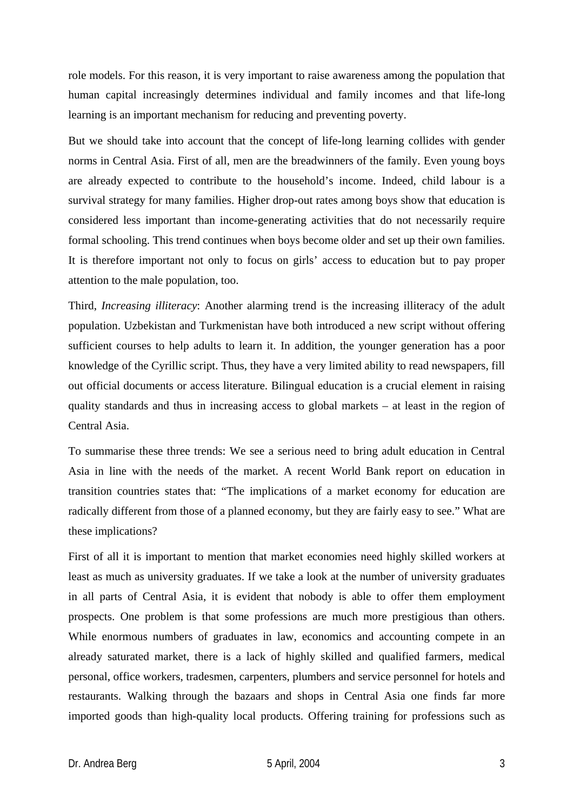role models. For this reason, it is very important to raise awareness among the population that human capital increasingly determines individual and family incomes and that life-long learning is an important mechanism for reducing and preventing poverty.

But we should take into account that the concept of life-long learning collides with gender norms in Central Asia. First of all, men are the breadwinners of the family. Even young boys are already expected to contribute to the household's income. Indeed, child labour is a survival strategy for many families. Higher drop-out rates among boys show that education is considered less important than income-generating activities that do not necessarily require formal schooling. This trend continues when boys become older and set up their own families. It is therefore important not only to focus on girls' access to education but to pay proper attention to the male population, too.

Third, *Increasing illiteracy*: Another alarming trend is the increasing illiteracy of the adult population. Uzbekistan and Turkmenistan have both introduced a new script without offering sufficient courses to help adults to learn it. In addition, the younger generation has a poor knowledge of the Cyrillic script. Thus, they have a very limited ability to read newspapers, fill out official documents or access literature. Bilingual education is a crucial element in raising quality standards and thus in increasing access to global markets – at least in the region of Central Asia.

To summarise these three trends: We see a serious need to bring adult education in Central Asia in line with the needs of the market. A recent World Bank report on education in transition countries states that: "The implications of a market economy for education are radically different from those of a planned economy, but they are fairly easy to see." What are these implications?

First of all it is important to mention that market economies need highly skilled workers at least as much as university graduates. If we take a look at the number of university graduates in all parts of Central Asia, it is evident that nobody is able to offer them employment prospects. One problem is that some professions are much more prestigious than others. While enormous numbers of graduates in law, economics and accounting compete in an already saturated market, there is a lack of highly skilled and qualified farmers, medical personal, office workers, tradesmen, carpenters, plumbers and service personnel for hotels and restaurants. Walking through the bazaars and shops in Central Asia one finds far more imported goods than high-quality local products. Offering training for professions such as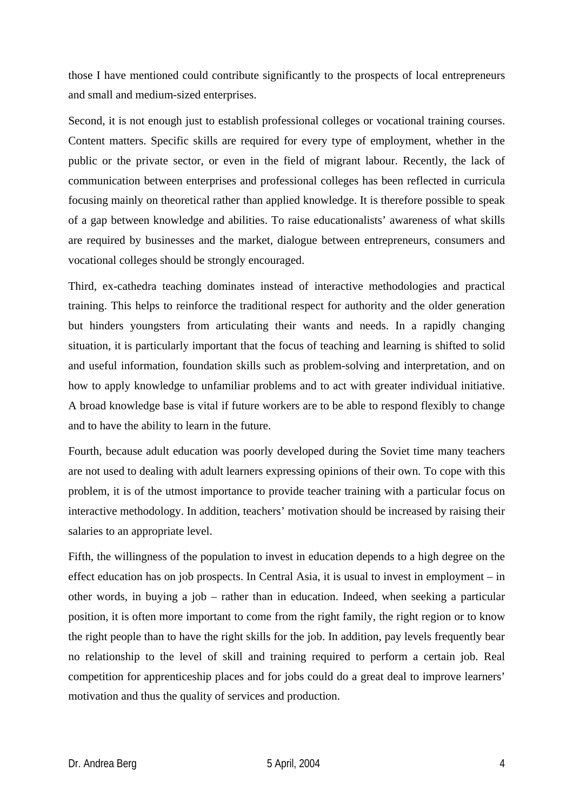those I have mentioned could contribute significantly to the prospects of local entrepreneurs and small and medium-sized enterprises.

Second, it is not enough just to establish professional colleges or vocational training courses. Content matters. Specific skills are required for every type of employment, whether in the public or the private sector, or even in the field of migrant labour. Recently, the lack of communication between enterprises and professional colleges has been reflected in curricula focusing mainly on theoretical rather than applied knowledge. It is therefore possible to speak of a gap between knowledge and abilities. To raise educationalists' awareness of what skills are required by businesses and the market, dialogue between entrepreneurs, consumers and vocational colleges should be strongly encouraged.

Third, ex-cathedra teaching dominates instead of interactive methodologies and practical training. This helps to reinforce the traditional respect for authority and the older generation but hinders youngsters from articulating their wants and needs. In a rapidly changing situation, it is particularly important that the focus of teaching and learning is shifted to solid and useful information, foundation skills such as problem-solving and interpretation, and on how to apply knowledge to unfamiliar problems and to act with greater individual initiative. A broad knowledge base is vital if future workers are to be able to respond flexibly to change and to have the ability to learn in the future.

Fourth, because adult education was poorly developed during the Soviet time many teachers are not used to dealing with adult learners expressing opinions of their own. To cope with this problem, it is of the utmost importance to provide teacher training with a particular focus on interactive methodology. In addition, teachers' motivation should be increased by raising their salaries to an appropriate level.

Fifth, the willingness of the population to invest in education depends to a high degree on the effect education has on job prospects. In Central Asia, it is usual to invest in employment – in other words, in buying a job – rather than in education. Indeed, when seeking a particular position, it is often more important to come from the right family, the right region or to know the right people than to have the right skills for the job. In addition, pay levels frequently bear no relationship to the level of skill and training required to perform a certain job. Real competition for apprenticeship places and for jobs could do a great deal to improve learners' motivation and thus the quality of services and production.